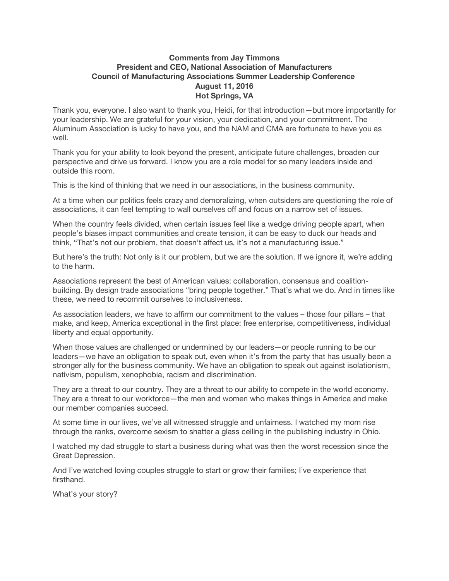## **Comments from Jay Timmons President and CEO, National Association of Manufacturers Council of Manufacturing Associations Summer Leadership Conference August 11, 2016 Hot Springs, VA**

Thank you, everyone. I also want to thank you, Heidi, for that introduction—but more importantly for your leadership. We are grateful for your vision, your dedication, and your commitment. The Aluminum Association is lucky to have you, and the NAM and CMA are fortunate to have you as well.

Thank you for your ability to look beyond the present, anticipate future challenges, broaden our perspective and drive us forward. I know you are a role model for so many leaders inside and outside this room.

This is the kind of thinking that we need in our associations, in the business community.

At a time when our politics feels crazy and demoralizing, when outsiders are questioning the role of associations, it can feel tempting to wall ourselves off and focus on a narrow set of issues.

When the country feels divided, when certain issues feel like a wedge driving people apart, when people's biases impact communities and create tension, it can be easy to duck our heads and think, "That's not our problem, that doesn't affect us, it's not a manufacturing issue."

But here's the truth: Not only is it our problem, but we are the solution. If we ignore it, we're adding to the harm.

Associations represent the best of American values: collaboration, consensus and coalitionbuilding. By design trade associations "bring people together." That's what we do. And in times like these, we need to recommit ourselves to inclusiveness.

As association leaders, we have to affirm our commitment to the values – those four pillars – that make, and keep, America exceptional in the first place: free enterprise, competitiveness, individual liberty and equal opportunity.

When those values are challenged or undermined by our leaders—or people running to be our leaders—we have an obligation to speak out, even when it's from the party that has usually been a stronger ally for the business community. We have an obligation to speak out against isolationism, nativism, populism, xenophobia, racism and discrimination.

They are a threat to our country. They are a threat to our ability to compete in the world economy. They are a threat to our workforce—the men and women who makes things in America and make our member companies succeed.

At some time in our lives, we've all witnessed struggle and unfairness. I watched my mom rise through the ranks, overcome sexism to shatter a glass ceiling in the publishing industry in Ohio.

I watched my dad struggle to start a business during what was then the worst recession since the Great Depression.

And I've watched loving couples struggle to start or grow their families; I've experience that firsthand.

What's your story?